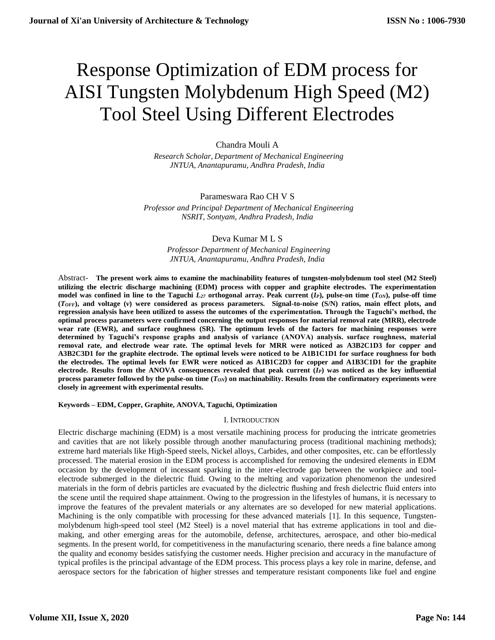# Response Optimization of EDM process for AISI Tungsten Molybdenum High Speed (M2) Tool Steel Using Different Electrodes

## Chandra Mouli A

 *Research Scholar, Department of Mechanical Engineering JNTUA, Anantapuramu, Andhra Pradesh, India*

## Parameswara Rao CH V S

 *Professor and Principal, Department of Mechanical Engineering NSRIT, Sontyam, Andhra Pradesh, India*

## Deva Kumar M L S

 *Professor, Department of Mechanical Engineering JNTUA, Anantapuramu, Andhra Pradesh, India*

Abstract- **The present work aims to examine the machinability features of tungsten-molybdenum tool steel (M2 Steel) utilizing the electric discharge machining (EDM) process with copper and graphite electrodes. The experimentation model was confined in line to the Taguchi** *L<sup>27</sup>* **orthogonal array. Peak current (***IP***), pulse-on time (***TON***), pulse-off time (***TOFF***), and voltage (***v***) were considered as process parameters. Signal-to-noise (S/N) ratios, main effect plots, and regression analysis have been utilized to assess the outcomes of the experimentation. Through the Taguchi's method, the optimal process parameters were confirmed concerning the output responses for material removal rate (MRR), electrode wear rate (EWR), and surface roughness (SR). The optimum levels of the factors for machining responses were determined by Taguchi's response graphs and analysis of variance (ANOVA) analysis. surface roughness, material removal rate, and electrode wear rate. The optimal levels for MRR were noticed as A3B2C1D3 for copper and A3B2C3D1 for the graphite electrode. The optimal levels were noticed to be A1B1C1D1 for surface roughness for both the electrodes. The optimal levels for EWR were noticed as A1B1C2D3 for copper and A1B3C1D1 for the graphite electrode. Results from the ANOVA consequences revealed that peak current (***IP***) was noticed as the key influential process parameter followed by the pulse-on time (***TON***) on machinability. Results from the confirmatory experiments were closely in agreement with experimental results.**

## **Keywords – EDM, Copper, Graphite, ANOVA, Taguchi, Optimization**

## I. INTRODUCTION

Electric discharge machining (EDM) is a most versatile machining process for producing the intricate geometries and cavities that are not likely possible through another manufacturing process (traditional machining methods); extreme hard materials like High-Speed steels, Nickel alloys, Carbides, and other composites, etc. can be effortlessly processed. The material erosion in the EDM process is accomplished for removing the undesired elements in EDM occasion by the development of incessant sparking in the inter-electrode gap between the workpiece and toolelectrode submerged in the dielectric fluid. Owing to the melting and vaporization phenomenon the undesired materials in the form of debris particles are evacuated by the dielectric flushing and fresh dielectric fluid enters into the scene until the required shape attainment. Owing to the progression in the lifestyles of humans, it is necessary to improve the features of the prevalent materials or any alternates are so developed for new material applications. Machining is the only compatible with processing for these advanced materials [1]. In this sequence, Tungstenmolybdenum high-speed tool steel (M2 Steel) is a novel material that has extreme applications in tool and diemaking, and other emerging areas for the automobile, defense, architectures, aerospace, and other bio-medical segments. In the present world, for competitiveness in the manufacturing scenario, there needs a fine balance among the quality and economy besides satisfying the customer needs. Higher precision and accuracy in the manufacture of typical profiles is the principal advantage of the EDM process. This process plays a key role in marine, defense, and aerospace sectors for the fabrication of higher stresses and temperature resistant components like fuel and engine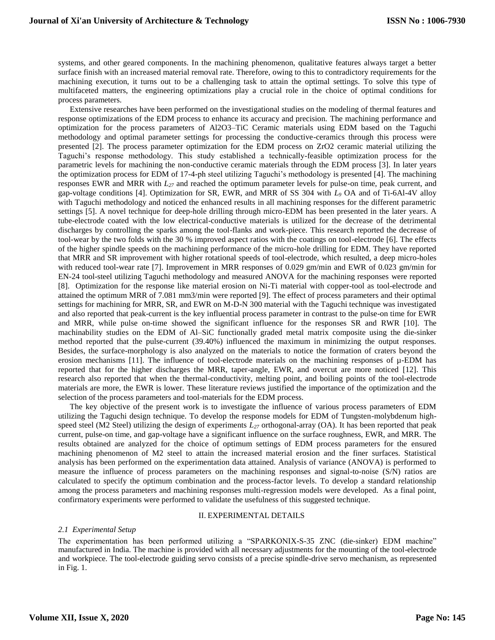systems, and other geared components. In the machining phenomenon, qualitative features always target a better surface finish with an increased material removal rate. Therefore, owing to this to contradictory requirements for the machining execution, it turns out to be a challenging task to attain the optimal settings. To solve this type of multifaceted matters, the engineering optimizations play a crucial role in the choice of optimal conditions for process parameters.

Extensive researches have been performed on the investigational studies on the modeling of thermal features and response optimizations of the EDM process to enhance its accuracy and precision. The machining performance and optimization for the process parameters of Al2O3–TiC Ceramic materials using EDM based on the Taguchi methodology and optimal parameter settings for processing the conductive-ceramics through this process were presented [2]. The process parameter optimization for the EDM process on ZrO2 ceramic material utilizing the Taguchi's response methodology. This study established a technically-feasible optimization process for the parametric levels for machining the non-conductive ceramic materials through the EDM process [3]. In later years the optimization process for EDM of 17-4-ph steel utilizing Taguchi's methodology is presented [4]. The machining responses EWR and MRR with *L<sup>27</sup>* and reached the optimum parameter levels for pulse-on time, peak current, and gap-voltage conditions [4]. Optimization for SR, EWR, and MRR of SS 304 with *L<sup>9</sup>* OA and of Ti-6Al-4V alloy with Taguchi methodology and noticed the enhanced results in all machining responses for the different parametric settings [5]. A novel technique for deep-hole drilling through micro-EDM has been presented in the later years. A tube-electrode coated with the low electrical-conductive materials is utilized for the decrease of the detrimental discharges by controlling the sparks among the tool-flanks and work-piece. This research reported the decrease of tool-wear by the two folds with the 30 % improved aspect ratios with the coatings on tool-electrode [6]. The effects of the higher spindle speeds on the machining performance of the micro-hole drilling for EDM. They have reported that MRR and SR improvement with higher rotational speeds of tool-electrode, which resulted, a deep micro-holes with reduced tool-wear rate [7]. Improvement in MRR responses of 0.029 gm/min and EWR of 0.023 gm/min for EN-24 tool-steel utilizing Taguchi methodology and measured ANOVA for the machining responses were reported [8]. Optimization for the response like material erosion on Ni-Ti material with copper-tool as tool-electrode and attained the optimum MRR of 7.081 mm3/min were reported [9]. The effect of process parameters and their optimal settings for machining for MRR, SR, and EWR on M-D-N 300 material with the Taguchi technique was investigated and also reported that peak-current is the key influential process parameter in contrast to the pulse-on time for EWR and MRR, while pulse on-time showed the significant influence for the responses SR and RWR [10]. The machinability studies on the EDM of Al–SiC functionally graded metal matrix composite using the die-sinker method reported that the pulse-current (39.40%) influenced the maximum in minimizing the output responses. Besides, the surface-morphology is also analyzed on the materials to notice the formation of craters beyond the erosion mechanisms [11]. The influence of tool-electrode materials on the machining responses of  $\mu$ -EDM has reported that for the higher discharges the MRR, taper-angle, EWR, and overcut are more noticed [12]. This research also reported that when the thermal-conductivity, melting point, and boiling points of the tool-electrode materials are more, the EWR is lower. These literature reviews justified the importance of the optimization and the selection of the process parameters and tool-materials for the EDM process.

The key objective of the present work is to investigate the influence of various process parameters of EDM utilizing the Taguchi design technique. To develop the response models for EDM of Tungsten-molybdenum highspeed steel (M2 Steel) utilizing the design of experiments *L<sup>27</sup>* orthogonal-array (OA). It has been reported that peak current, pulse-on time, and gap-voltage have a significant influence on the surface roughness, EWR, and MRR. The results obtained are analyzed for the choice of optimum settings of EDM process parameters for the ensured machining phenomenon of M2 steel to attain the increased material erosion and the finer surfaces. Statistical analysis has been performed on the experimentation data attained. Analysis of variance (ANOVA) is performed to measure the influence of process parameters on the machining responses and signal-to-noise (S/N) ratios are calculated to specify the optimum combination and the process-factor levels. To develop a standard relationship among the process parameters and machining responses multi-regression models were developed. As a final point, confirmatory experiments were performed to validate the usefulness of this suggested technique.

#### II. EXPERIMENTAL DETAILS

#### *2.1 Experimental Setup*

The experimentation has been performed utilizing a "SPARKONIX-S-35 ZNC (die-sinker) EDM machine" manufactured in India. The machine is provided with all necessary adjustments for the mounting of the tool-electrode and workpiece. The tool-electrode guiding servo consists of a precise spindle-drive servo mechanism, as represented in Fig. 1.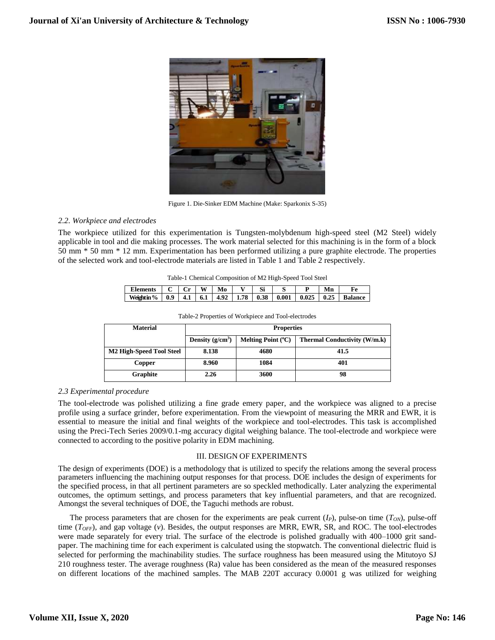

Figure 1. Die-Sinker EDM Machine (Make: Sparkonix S-35)

## *2.2. Workpiece and electrodes*

The workpiece utilized for this experimentation is Tungsten-molybdenum high-speed steel (M2 Steel) widely applicable in tool and die making processes. The work material selected for this machining is in the form of a block 50 mm \* 50 mm \* 12 mm. Experimentation has been performed utilizing a pure graphite electrode. The properties of the selected work and tool-electrode materials are listed in Table 1 and Table 2 respectively.

| Table-1 Chemical Composition of M2 High-Speed Tool Steel |  |  |
|----------------------------------------------------------|--|--|
|                                                          |  |  |

| <b>Elements</b> |                  | $\sqrt{a}$ | W | Mo | Si |                                                       | Mn |                |
|-----------------|------------------|------------|---|----|----|-------------------------------------------------------|----|----------------|
| Weight in %     | $\overline{0.9}$ |            |   |    |    | 4.1   6.1   4.92   1.78   0.38   0.001   0.025   0.25 |    | <b>Balance</b> |

| <b>Material</b>                      | <b>Properties</b>  |                             |                                     |  |  |  |  |
|--------------------------------------|--------------------|-----------------------------|-------------------------------------|--|--|--|--|
|                                      | Density $(g/cm^3)$ | Melting Point $(^{\circ}C)$ | <b>Thermal Conductivity (W/m.k)</b> |  |  |  |  |
| M <sub>2</sub> High-Speed Tool Steel | 8.138              | 4680                        | 41.5                                |  |  |  |  |
| Copper                               | 8.960              | 1084                        | 401                                 |  |  |  |  |
| Graphite                             | 2.26               | 3600                        | 98                                  |  |  |  |  |

Table-2 Properties of Workpiece and Tool-electrodes

## *2.3 Experimental procedure*

The tool-electrode was polished utilizing a fine grade emery paper, and the workpiece was aligned to a precise profile using a surface grinder, before experimentation. From the viewpoint of measuring the MRR and EWR, it is essential to measure the initial and final weights of the workpiece and tool-electrodes. This task is accomplished using the Preci-Tech Series 2009/0.1-mg accuracy digital weighing balance. The tool-electrode and workpiece were connected to according to the positive polarity in EDM machining.

## III. DESIGN OF EXPERIMENTS

The design of experiments (DOE) is a methodology that is utilized to specify the relations among the several process parameters influencing the machining output responses for that process. DOE includes the design of experiments for the specified process, in that all pertinent parameters are so speckled methodically. Later analyzing the experimental outcomes, the optimum settings, and process parameters that key influential parameters, and that are recognized. Amongst the several techniques of DOE, the Taguchi methods are robust.

The process parameters that are chosen for the experiments are peak current  $(I_P)$ , pulse-on time  $(T_{ON})$ , pulse-off time (*TOFF*), and gap voltage (*v*). Besides, the output responses are MRR, EWR, SR, and ROC. The tool-electrodes were made separately for every trial. The surface of the electrode is polished gradually with 400–1000 grit sandpaper. The machining time for each experiment is calculated using the stopwatch. The conventional dielectric fluid is selected for performing the machinability studies. The surface roughness has been measured using the Mitutoyo SJ 210 roughness tester. The average roughness (Ra) value has been considered as the mean of the measured responses on different locations of the machined samples. The MAB 220T accuracy 0.0001 g was utilized for weighing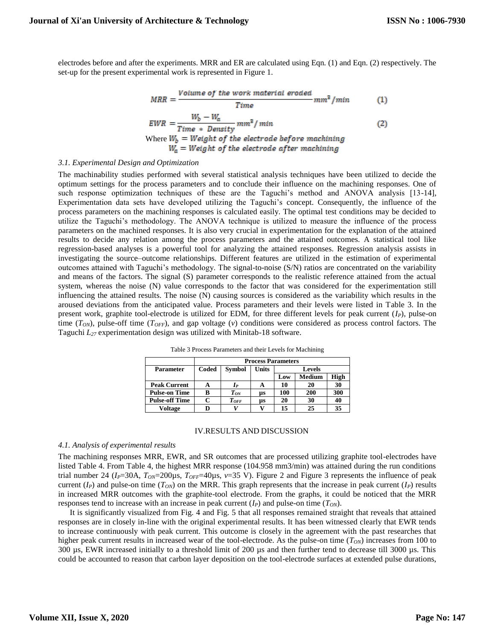electrodes before and after the experiments. MRR and ER are calculated using Eqn. (1) and Eqn. (2) respectively. The set-up for the present experimental work is represented in Figure 1.

$$
MRR = \frac{Volume\ of\ the\ work\ material\ encoded}{Time} \ mm^2/min \tag{1}
$$

$$
EWR = \frac{w_b - w_a}{Time * Density} \, mm^3 / \, min
$$
\n
$$
Where \, W_b = Weight \, of \, the \, electrode \, before \, matching
$$
\n
$$
W_a = Weight \, of \, the \, electrode \, after \, matching
$$
\n
$$
O(2)
$$

## *3.1. Experimental Design and Optimization*

The machinability studies performed with several statistical analysis techniques have been utilized to decide the optimum settings for the process parameters and to conclude their influence on the machining responses. One of such response optimization techniques of these are the Taguchi's method and ANOVA analysis [13-14], Experimentation data sets have developed utilizing the Taguchi's concept. Consequently, the influence of the process parameters on the machining responses is calculated easily. The optimal test conditions may be decided to utilize the Taguchi's methodology. The ANOVA technique is utilized to measure the influence of the process parameters on the machined responses. It is also very crucial in experimentation for the explanation of the attained results to decide any relation among the process parameters and the attained outcomes. A statistical tool like regression-based analyses is a powerful tool for analyzing the attained responses. Regression analysis assists in investigating the source–outcome relationships. Different features are utilized in the estimation of experimental outcomes attained with Taguchi's methodology. The signal-to-noise (S/N) ratios are concentrated on the variability and means of the factors. The signal (S) parameter corresponds to the realistic reference attained from the actual system, whereas the noise (N) value corresponds to the factor that was considered for the experimentation still influencing the attained results. The noise (N) causing sources is considered as the variability which results in the aroused deviations from the anticipated value. Process parameters and their levels were listed in Table 3. In the present work, graphite tool-electrode is utilized for EDM, for three different levels for peak current (*IP*), pulse-on time (*TON*), pulse-off time (*TOFF*), and gap voltage (*v*) conditions were considered as process control factors. The Taguchi *L<sup>27</sup>* experimentation design was utilized with Minitab-18 software.

|                       |       | <b>Process Parameters</b> |       |        |               |      |  |  |  |
|-----------------------|-------|---------------------------|-------|--------|---------------|------|--|--|--|
| Parameter             | Coded | <b>Symbol</b>             | Units | Levels |               |      |  |  |  |
|                       |       |                           |       | Low    | <b>Medium</b> | High |  |  |  |
| <b>Peak Current</b>   | А     | $I_{P}$                   | A     | 10     | 20            | 30   |  |  |  |
| <b>Pulse-on Time</b>  | B     | $T_{ON}$                  | ЦS    | 100    | 200           | 300  |  |  |  |
| <b>Pulse-off Time</b> |       | $T$ of F                  | ЦS    | 20     | 30            | 40   |  |  |  |
| Voltage               |       |                           |       | 15     | 25            | 35   |  |  |  |

Table 3 Process Parameters and their Levels for Machining

#### IV.RESULTS AND DISCUSSION

## *4.1. Analysis of experimental results*

The machining responses MRR, EWR, and SR outcomes that are processed utilizing graphite tool-electrodes have listed Table 4. From Table 4, the highest MRR response (104.958 mm3/min) was attained during the run conditions trial number 24 ( $I_P$ =30A,  $T_{ON}$ =200 $\mu$ s,  $T_{OFF}$ =40 $\mu$ s,  $\nu$ =35 V). Figure 2 and Figure 3 represents the influence of peak current  $(I_P)$  and pulse-on time  $(T_{ON})$  on the MRR. This graph represents that the increase in peak current  $(I_P)$  results in increased MRR outcomes with the graphite-tool electrode. From the graphs, it could be noticed that the MRR responses tend to increase with an increase in peak current (*IP*) and pulse-on time (*TON*).

It is significantly visualized from Fig. 4 and Fig. 5 that all responses remained straight that reveals that attained responses are in closely in-line with the original experimental results. It has been witnessed clearly that EWR tends to increase continuously with peak current. This outcome is closely in the agreement with the past researches that higher peak current results in increased wear of the tool-electrode. As the pulse-on time (*TON*) increases from 100 to 300 µs, EWR increased initially to a threshold limit of 200 µs and then further tend to decrease till 3000 µs. This could be accounted to reason that carbon layer deposition on the tool-electrode surfaces at extended pulse durations,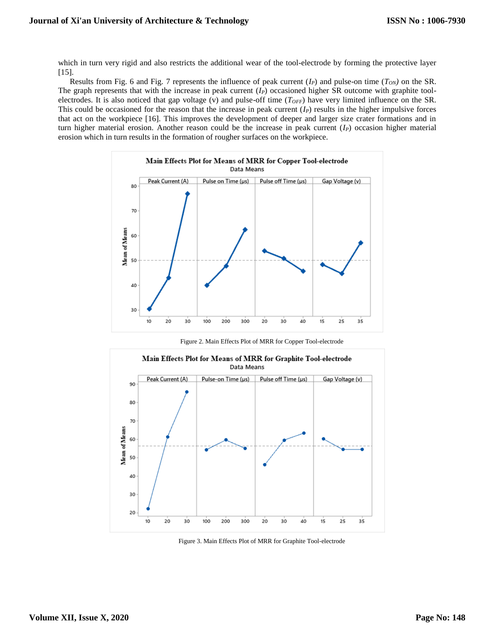which in turn very rigid and also restricts the additional wear of the tool-electrode by forming the protective layer [15].

Results from Fig. 6 and Fig. 7 represents the influence of peak current  $(I_P)$  and pulse-on time  $(T_{ON})$  on the SR. The graph represents that with the increase in peak current (*IP*) occasioned higher SR outcome with graphite toolelectrodes. It is also noticed that gap voltage (v) and pulse-off time (*TOFF*) have very limited influence on the SR. This could be occasioned for the reason that the increase in peak current  $(I_P)$  results in the higher impulsive forces that act on the workpiece [16]. This improves the development of deeper and larger size crater formations and in turn higher material erosion. Another reason could be the increase in peak current (*IP*) occasion higher material erosion which in turn results in the formation of rougher surfaces on the workpiece.



Figure 2. Main Effects Plot of MRR for Copper Tool-electrode



Figure 3. Main Effects Plot of MRR for Graphite Tool-electrode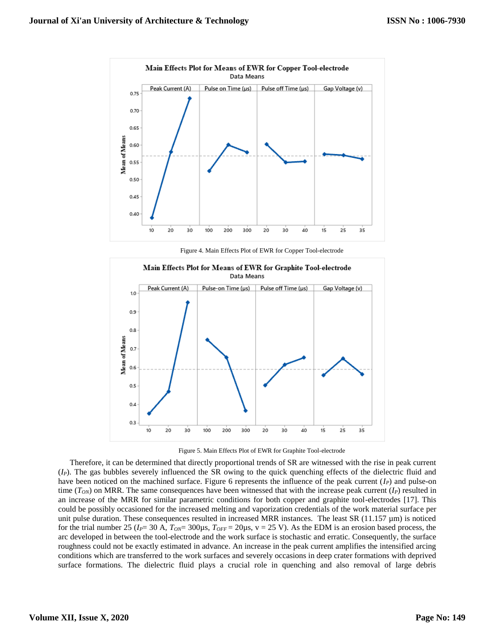

Figure 4. Main Effects Plot of EWR for Copper Tool-electrode



Figure 5. Main Effects Plot of EWR for Graphite Tool-electrode

Therefore, it can be determined that directly proportional trends of SR are witnessed with the rise in peak current (*IP*). The gas bubbles severely influenced the SR owing to the quick quenching effects of the dielectric fluid and have been noticed on the machined surface. Figure 6 represents the influence of the peak current (*IP*) and pulse-on time  $(T_{ON})$  on MRR. The same consequences have been witnessed that with the increase peak current  $(I_P)$  resulted in an increase of the MRR for similar parametric conditions for both copper and graphite tool-electrodes [17]. This could be possibly occasioned for the increased melting and vaporization credentials of the work material surface per unit pulse duration. These consequences resulted in increased MRR instances. The least  $SR(11.157 \mu m)$  is noticed for the trial number 25 ( $I_P$ = 30 A,  $T_{ON}$ = 300 $\mu$ s,  $T_{OFF}$ = 20 $\mu$ s, v = 25 V). As the EDM is an erosion based process, the arc developed in between the tool-electrode and the work surface is stochastic and erratic. Consequently, the surface roughness could not be exactly estimated in advance. An increase in the peak current amplifies the intensified arcing conditions which are transferred to the work surfaces and severely occasions in deep crater formations with deprived surface formations. The dielectric fluid plays a crucial role in quenching and also removal of large debris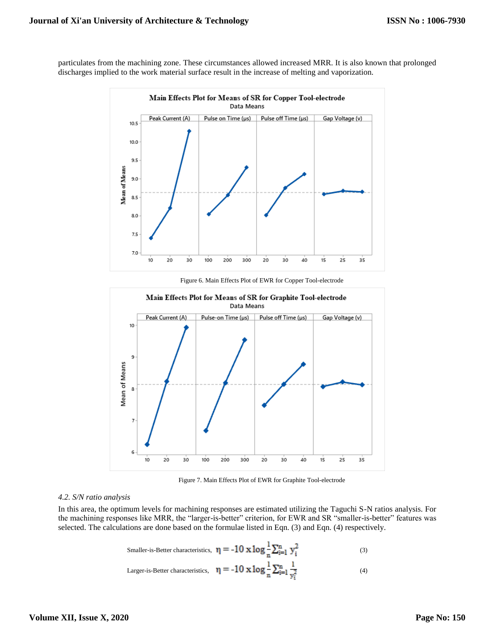particulates from the machining zone. These circumstances allowed increased MRR. It is also known that prolonged discharges implied to the work material surface result in the increase of melting and vaporization.



Figure 6. Main Effects Plot of EWR for Copper Tool-electrode



Figure 7. Main Effects Plot of EWR for Graphite Tool-electrode

## *4.2. S/N ratio analysis*

In this area, the optimum levels for machining responses are estimated utilizing the Taguchi S-N ratios analysis. For the machining responses like MRR, the "larger-is-better" criterion, for EWR and SR "smaller-is-better" features was selected. The calculations are done based on the formulae listed in Eqn. (3) and Eqn. (4) respectively.

Smaller-is-Better characteristics, 
$$
\eta = -10 \times \log_{\frac{1}{n}} \sum_{i=1}^{n} y_i^2
$$
 (3)

Larger-is-Better characteristics, 
$$
\eta = -10 \times \log \frac{1}{n} \sum_{i=1}^{n} \frac{1}{y_i^2}
$$
 (4)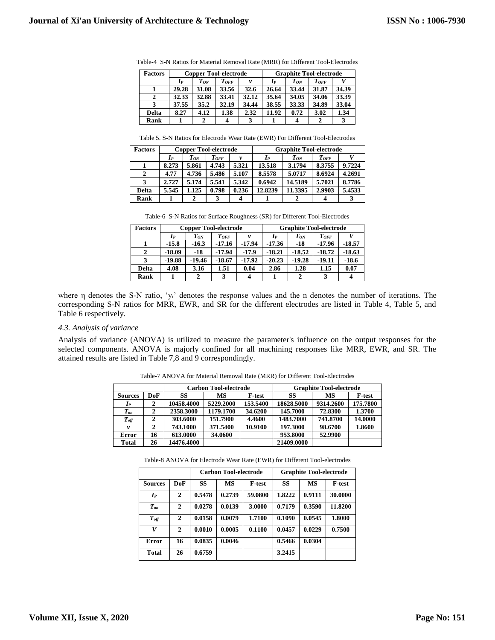| <b>Factors</b> |       |          | <b>Copper Tool-electrode</b> |       | <b>Graphite Tool-electrode</b> |          |          |       |  |
|----------------|-------|----------|------------------------------|-------|--------------------------------|----------|----------|-------|--|
|                | Iр    | $T_{ON}$ | $T$ of F                     | v     | Iр                             | $T_{ON}$ | $T$ of F |       |  |
|                | 29.28 | 31.08    | 33.56                        | 32.6  | 26.64                          | 33.44    | 31.87    | 34.39 |  |
| 2              | 32.33 | 32.88    | 33.41                        | 32.12 | 35.64                          | 34.05    | 34.06    | 33.39 |  |
| 3              | 37.55 | 35.2     | 32.19                        | 34.44 | 38.55                          | 33.33    | 34.89    | 33.04 |  |
| <b>Delta</b>   | 8.27  | 4.12     | 1.38                         | 2.32  | 11.92                          | 0.72     | 3.02     | 1.34  |  |
| Rank           |       | 2        | 4                            | 3     |                                | 4        | 2        | 3     |  |

Table-4 S-N Ratios for Material Removal Rate (MRR) for Different Tool-Electrodes

Table 5. S-N Ratios for Electrode Wear Rate (EWR) For Different Tool-Electrodes

| <b>Factors</b> |       | <b>Copper Tool-electrode</b> |         |       | <b>Graphite Tool-electrode</b> |          |          |        |  |
|----------------|-------|------------------------------|---------|-------|--------------------------------|----------|----------|--------|--|
|                | Iр    | $T_{ON}$                     | $T$ off |       | $I_{P}$                        | $T_{ON}$ | $T$ of F |        |  |
|                | 8.273 | 5.861                        | 4.743   | 5.321 | 13.518                         | 3.1794   | 8.3755   | 9.7224 |  |
| 2              | 4.77  | 4.736                        | 5.486   | 5.107 | 8.5578                         | 5.0717   | 8.6924   | 4.2691 |  |
| 3              | 2.727 | 5.174                        | 5.541   | 5.342 | 0.6942                         | 14.5189  | 5.7021   | 8.7786 |  |
| <b>Delta</b>   | 5.545 | 1.125                        | 0.798   | 0.236 | 12.8239                        | 11.3395  | 2.9903   | 5.4533 |  |
| Rank           |       |                              |         |       |                                |          |          |        |  |

Table-6 S-N Ratios for Surface Roughness (SR) for Different Tool-Electrodes

| <b>Factors</b> |          | <b>Copper Tool-electrode</b> |           |          | <b>Graphite Tool-electrode</b> |          |           |          |  |  |
|----------------|----------|------------------------------|-----------|----------|--------------------------------|----------|-----------|----------|--|--|
|                | $I_P$    | $T_{ON}$                     | $T_{OFF}$ | v        | $I_P$                          | $T_{ON}$ | $T_{OFF}$ |          |  |  |
|                | $-15.8$  | $-16.3$                      | $-17.16$  | $-17.94$ | $-17.36$                       | -18      | $-17.96$  | $-18.57$ |  |  |
| $\mathbf{2}$   | $-18.09$ | $-18$                        | $-17.94$  | $-17.9$  | $-18.21$                       | $-18.52$ | $-18.72$  | $-18.63$ |  |  |
| 3              | $-19.88$ | $-19.46$                     | $-18.67$  | $-17.92$ | $-20.23$                       | $-19.28$ | $-19.11$  | $-18.6$  |  |  |
| <b>Delta</b>   | 4.08     | 3.16                         | 1.51      | 0.04     | 2.86                           | 1.28     | 1.15      | 0.07     |  |  |
| Rank           |          | 2                            | 3         |          |                                | 2        | 3         |          |  |  |

where η denotes the S-N ratio, 'yi' denotes the response values and the n denotes the number of iterations. The corresponding S-N ratios for MRR, EWR, and SR for the different electrodes are listed in Table 4, Table 5, and Table 6 respectively.

## *4.3. Analysis of variance*

Analysis of variance (ANOVA) is utilized to measure the parameter's influence on the output responses for the selected components. ANOVA is majorly confined for all machining responses like MRR, EWR, and SR. The attained results are listed in Table 7,8 and 9 correspondingly.

|                |     |            | <b>Carbon Tool-electrode</b> |               | <b>Graphite Tool-electrode</b> |           |               |  |
|----------------|-----|------------|------------------------------|---------------|--------------------------------|-----------|---------------|--|
| <b>Sources</b> | DoF | SS         | МS                           | <b>F-test</b> | SS                             | MS        | <b>F-test</b> |  |
| $I_{P}$        | 2   | 10458.4000 | 5229.2000                    | 153.5400      | 18628.5000                     | 9314.2600 | 175.7800      |  |
| $T_{\it on}$   |     | 2358.3000  | 1179.1700                    | 34.6200       | 145.7000                       | 72.8300   | 1.3700        |  |
| $T_{\it off}$  |     | 303.6000   | 151.7900                     | 4.4600        | 1483.7000                      | 741.8700  | 14.0000       |  |
| v              |     | 743.1000   | 371.5400                     | 10.9100       | 197.3000                       | 98.6700   | 1.8600        |  |
| Error          | 16  | 613.0000   | 34.0600                      |               | 953.8000                       | 52.9900   |               |  |
| <b>Total</b>   | 26  | 14476.4000 |                              |               | 21409.0000                     |           |               |  |

Table-7 ANOVA for Material Removal Rate (MRR) for Different Tool-Electrodes

Table-8 ANOVA for Electrode Wear Rate (EWR) for Different Tool-electrodes

|                    |              |        | <b>Carbon Tool-electrode</b> |               | <b>Graphite Tool-electrode</b> |           |               |  |
|--------------------|--------------|--------|------------------------------|---------------|--------------------------------|-----------|---------------|--|
| <b>Sources</b>     | DoF          | SS     | <b>MS</b>                    | <b>F-test</b> | SS                             | <b>MS</b> | <b>F-test</b> |  |
| $I_{P}$            | 2            | 0.5478 | 0.2739                       | 59.0800       | 1.8222                         | 0.9111    | 30.0000       |  |
| $T_{on}$           | $\mathbf{2}$ | 0.0278 | 0.0139                       | 3.0000        | 0.7179                         | 0.3590    | 11.8200       |  |
| $T_{\textit{off}}$ | 2            | 0.0158 | 0.0079                       | 1.7100        | 0.1090                         | 0.0545    | 1.8000        |  |
| V                  | $\mathbf{2}$ | 0.0010 | 0.0005                       | 0.1100        | 0.0457                         | 0.0229    | 0.7500        |  |
| Error              | 16           | 0.0835 | 0.0046                       |               | 0.5466                         | 0.0304    |               |  |
| <b>Total</b>       | 26           | 0.6759 |                              |               | 3.2415                         |           |               |  |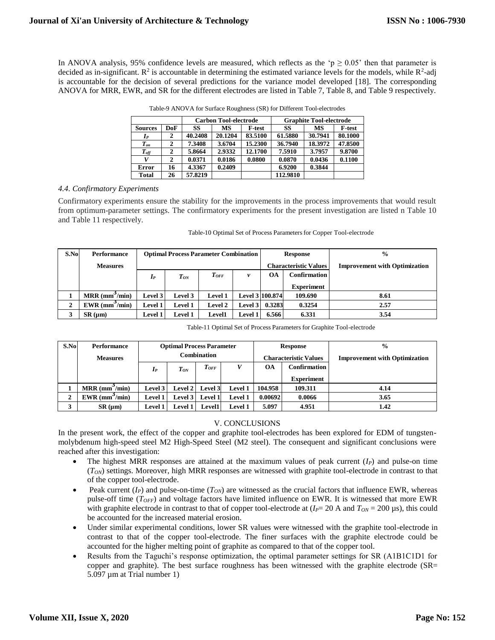In ANOVA analysis, 95% confidence levels are measured, which reflects as the 'p  $\geq 0.05$ ' then that parameter is decided as in-significant.  $R^2$  is accountable in determining the estimated variance levels for the models, while  $R^2$ -adj is accountable for the decision of several predictions for the variance model developed [18]. The corresponding ANOVA for MRR, EWR, and SR for the different electrodes are listed in Table 7, Table 8, and Table 9 respectively.

|                        |     |         | <b>Carbon Tool-electrode</b> |               | <b>Graphite Tool-electrode</b> |         |               |  |
|------------------------|-----|---------|------------------------------|---------------|--------------------------------|---------|---------------|--|
| <b>Sources</b>         | DoF | SS      | МS                           | <b>F-test</b> | SS                             | МS      | <b>F-test</b> |  |
| $I_P$                  | 2   | 40.2408 | 20.1204                      | 83.5100       | 61.5880                        | 30.7941 | 80.1000       |  |
| $T_{on}$               | 2   | 7.3408  | 3.6704                       | 15.2300       | 36.7940                        | 18.3972 | 47.8500       |  |
| $\boldsymbol{T_{off}}$ | 2   | 5.8664  | 2.9332                       | 12.1700       | 7.5910                         | 3.7957  | 9.8700        |  |
|                        | 2   | 0.0371  | 0.0186                       | 0.0800        | 0.0870                         | 0.0436  | 0.1100        |  |
| Error                  | 16  | 4.3367  | 0.2409                       |               | 6.9200                         | 0.3844  |               |  |
| <b>Total</b>           | 26  | 57.8219 |                              |               | 112.9810                       |         |               |  |

Table-9 ANOVA for Surface Roughness (SR) for Different Tool-electrodes

## *4.4. Confirmatory Experiments*

Confirmatory experiments ensure the stability for the improvements in the process improvements that would result from optimum-parameter settings. The confirmatory experiments for the present investigation are listed n Table 10 and Table 11 respectively.

| S.No           | Performance                  | <b>Optimal Process Parameter Combination</b> |                |                |                |                              | <b>Response</b>     | $\frac{0}{0}$                        |
|----------------|------------------------------|----------------------------------------------|----------------|----------------|----------------|------------------------------|---------------------|--------------------------------------|
|                | <b>Measures</b>              |                                              |                |                |                | <b>Characteristic Values</b> |                     | <b>Improvement with Optimization</b> |
|                |                              | $I_{P}$                                      | $T_{ON}$       | $T_{OFF}$      | v              | <b>OA</b>                    | <b>Confirmation</b> |                                      |
|                |                              |                                              |                |                |                |                              | <b>Experiment</b>   |                                      |
|                | $MRR$ (mm <sup>3</sup> /min) | Level 3                                      | Level 3        | <b>Level 1</b> |                | Level 3 100.874              | 109.690             | 8.61                                 |
| $\overline{2}$ | $EWR$ (mm $\gamma$ min)      | <b>Level 1</b>                               | <b>Level 1</b> | <b>Level 2</b> | Level 3        | 0.3283                       | 0.3254              | 2.57                                 |
| 3              | $SR$ ( $\mu$ m)              | <b>Level 1</b>                               | <b>Level 1</b> | <b>Level1</b>  | <b>Level 1</b> | 6.566                        | 6.331               | 3.54                                 |

| Table-10 Optimal Set of Process Parameters for Copper Tool-electrode |  |  |
|----------------------------------------------------------------------|--|--|
|----------------------------------------------------------------------|--|--|

| S.No | Performance                  | <b>Optimal Process Parameter</b> |                |                |                              | <b>Response</b> |                                      | $\frac{0}{0}$ |
|------|------------------------------|----------------------------------|----------------|----------------|------------------------------|-----------------|--------------------------------------|---------------|
|      | <b>Measures</b>              | <b>Combination</b>               |                |                | <b>Characteristic Values</b> |                 | <b>Improvement with Optimization</b> |               |
|      |                              | $I_P$                            | $T_{ON}$       | $T_{OFF}$      |                              | <b>OA</b>       | Confirmation                         |               |
|      |                              |                                  |                |                |                              |                 | <b>Experiment</b>                    |               |
|      | $MRR$ (mm <sup>-/</sup> min) | Level 3                          | Level $21$     | <b>Level 3</b> | <b>Level 1</b>               | 104.958         | 109.311                              | 4.14          |
| 2    | $EWR$ (mm <sup>3</sup> /min) | Level 1                          | Level 3        | <b>Level 1</b> | Level 1                      | 0.00692         | 0.0066                               | 3.65          |
| 3    | SR (µm)                      | Level 1                          | <b>Level 1</b> | <b>Level1</b>  | <b>Level 1</b>               | 5.097           | 4.951                                | 1.42          |

## V. CONCLUSIONS

In the present work, the effect of the copper and graphite tool-electrodes has been explored for EDM of tungstenmolybdenum high-speed steel M2 High-Speed Steel (M2 steel). The consequent and significant conclusions were reached after this investigation:

- The highest MRR responses are attained at the maximum values of peak current (*IP*) and pulse-on time (*TON*) settings. Moreover, high MRR responses are witnessed with graphite tool-electrode in contrast to that of the copper tool-electrode.
- Peak current (*IP*) and pulse-on-time (*TON*) are witnessed as the crucial factors that influence EWR, whereas pulse-off time (*TOFF*) and voltage factors have limited influence on EWR. It is witnessed that more EWR with graphite electrode in contrast to that of copper tool-electrode at  $(I_P = 20 \text{ A}$  and  $T_{ON} = 200 \text{ }\mu\text{s})$ , this could be accounted for the increased material erosion.
- Under similar experimental conditions, lower SR values were witnessed with the graphite tool-electrode in contrast to that of the copper tool-electrode. The finer surfaces with the graphite electrode could be accounted for the higher melting point of graphite as compared to that of the copper tool.
- Results from the Taguchi's response optimization, the optimal parameter settings for SR (A1B1C1D1 for copper and graphite). The best surface roughness has been witnessed with the graphite electrode (SR= 5.097 µm at Trial number 1)